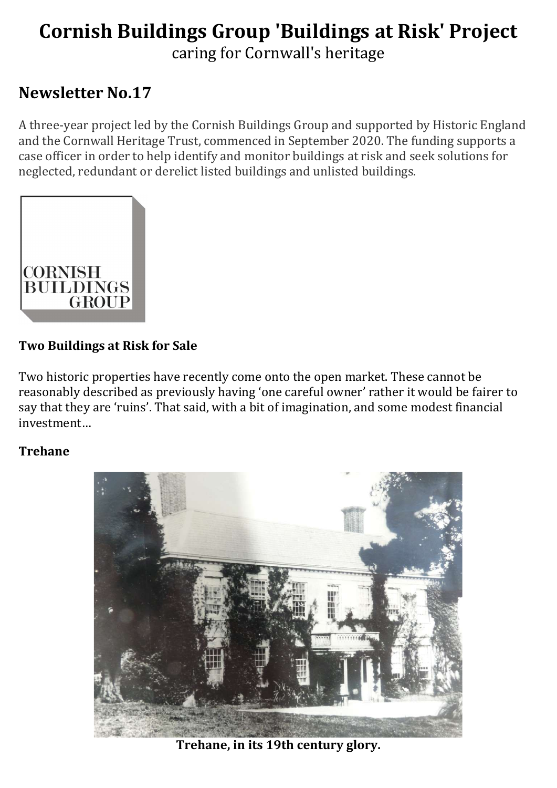# Cornish Buildings Group 'Buildings at Risk' Project caring for Cornwall's heritage

## Newsletter No.17

A three-year project led by the Cornish Buildings Group and supported by Historic England and the Cornwall Heritage Trust, commenced in September 2020. The funding supports a case officer in order to help identify and monitor buildings at risk and seek solutions for neglected, redundant or derelict listed buildings and unlisted buildings.



#### Two Buildings at Risk for Sale

Two historic properties have recently come onto the open market. These cannot be reasonably described as previously having 'one careful owner' rather it would be fairer to say that they are 'ruins'. That said, with a bit of imagination, and some modest financial investment…

#### Trehane



Trehane, in its 19th century glory.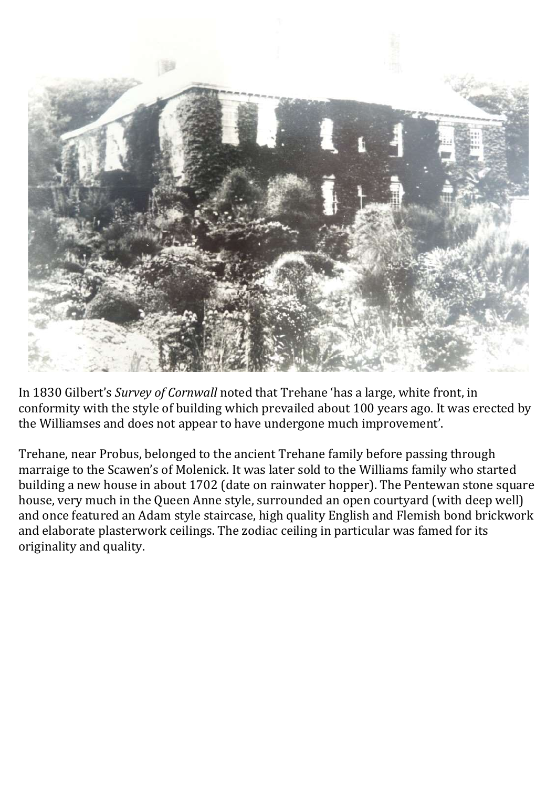

In 1830 Gilbert's Survey of Cornwall noted that Trehane 'has a large, white front, in conformity with the style of building which prevailed about 100 years ago. It was erected by the Williamses and does not appear to have undergone much improvement'.

Trehane, near Probus, belonged to the ancient Trehane family before passing through marraige to the Scawen's of Molenick. It was later sold to the Williams family who started building a new house in about 1702 (date on rainwater hopper). The Pentewan stone square house, very much in the Queen Anne style, surrounded an open courtyard (with deep well) and once featured an Adam style staircase, high quality English and Flemish bond brickwork and elaborate plasterwork ceilings. The zodiac ceiling in particular was famed for its originality and quality.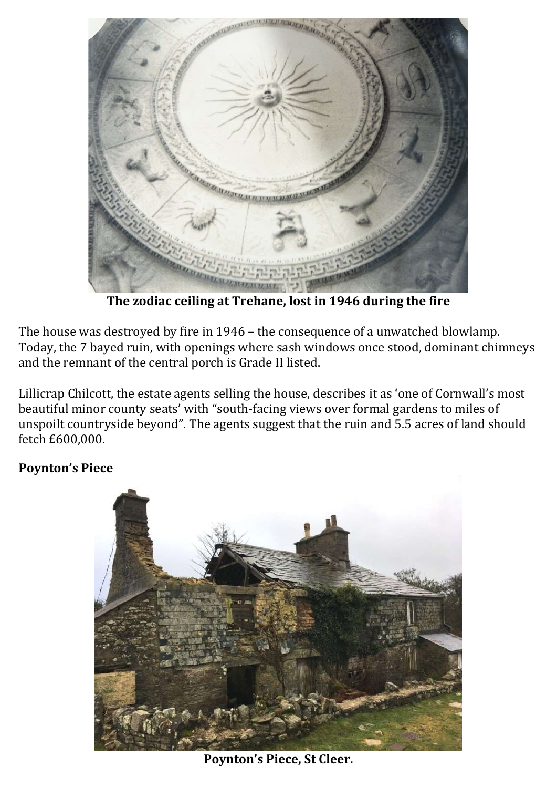

The zodiac ceiling at Trehane, lost in 1946 during the fire

The house was destroyed by fire in 1946 – the consequence of a unwatched blowlamp. Today, the 7 bayed ruin, with openings where sash windows once stood, dominant chimneys and the remnant of the central porch is Grade II listed.

Lillicrap Chilcott, the estate agents selling the house, describes it as 'one of Cornwall's most beautiful minor county seats' with "south-facing views over formal gardens to miles of unspoilt countryside beyond". The agents suggest that the ruin and 5.5 acres of land should fetch £600,000.

#### Poynton's Piece



Poynton's Piece, St Cleer.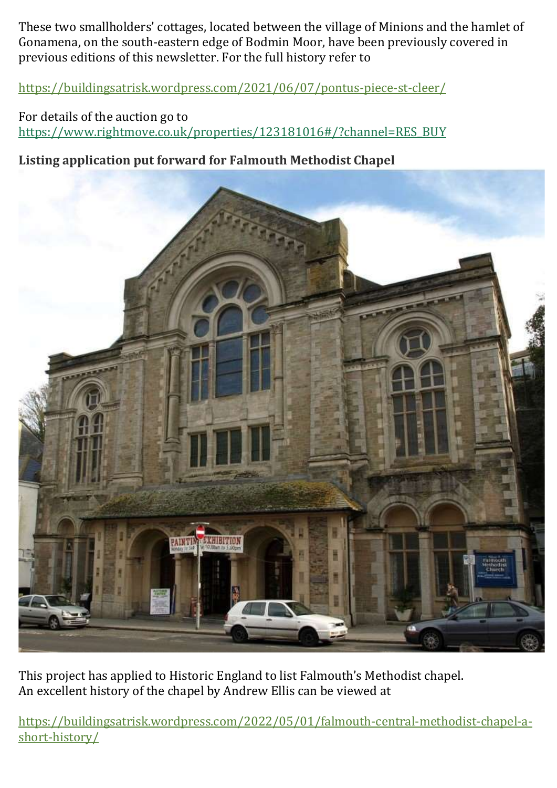These two smallholders' cottages, located between the village of Minions and the hamlet of Gonamena, on the south-eastern edge of Bodmin Moor, have been previously covered in previous editions of this newsletter. For the full history refer to

https://buildingsatrisk.wordpress.com/2021/06/07/pontus-piece-st-cleer/

For details of the auction go to https://www.rightmove.co.uk/properties/123181016#/?channel=RES\_BUY

#### Listing application put forward for Falmouth Methodist Chapel



This project has applied to Historic England to list Falmouth's Methodist chapel. An excellent history of the chapel by Andrew Ellis can be viewed at

https://buildingsatrisk.wordpress.com/2022/05/01/falmouth-central-methodist-chapel-ashort-history/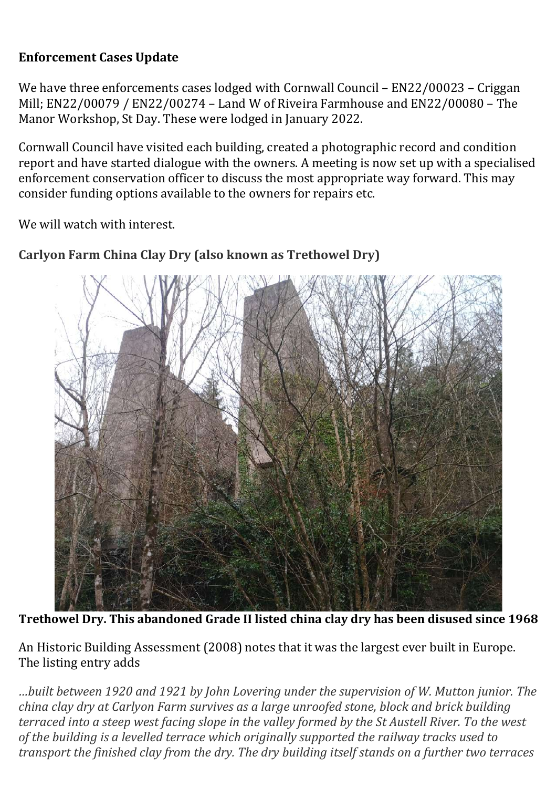#### Enforcement Cases Update

We have three enforcements cases lodged with Cornwall Council – EN22/00023 – Criggan Mill; EN22/00079 / EN22/00274 – Land W of Riveira Farmhouse and EN22/00080 – The Manor Workshop, St Day. These were lodged in January 2022.

Cornwall Council have visited each building, created a photographic record and condition report and have started dialogue with the owners. A meeting is now set up with a specialised enforcement conservation officer to discuss the most appropriate way forward. This may consider funding options available to the owners for repairs etc.

We will watch with interest.

### Carlyon Farm China Clay Dry (also known as Trethowel Dry)

Trethowel Dry. This abandoned Grade II listed china clay dry has been disused since 1968

An Historic Building Assessment (2008) notes that it was the largest ever built in Europe. The listing entry adds

…built between 1920 and 1921 by John Lovering under the supervision of W. Mutton junior. The china clay dry at Carlyon Farm survives as a large unroofed stone, block and brick building terraced into a steep west facing slope in the valley formed by the St Austell River. To the west of the building is a levelled terrace which originally supported the railway tracks used to transport the finished clay from the dry. The dry building itself stands on a further two terraces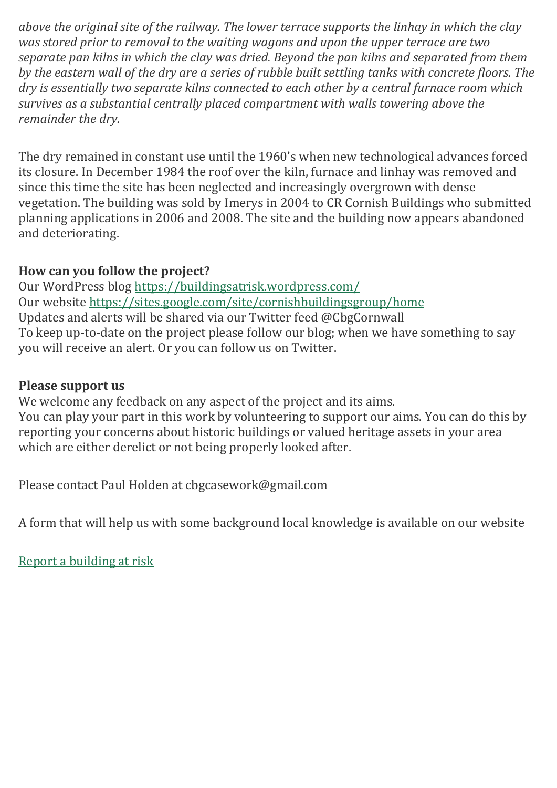above the original site of the railway. The lower terrace supports the linhay in which the clay was stored prior to removal to the waiting wagons and upon the upper terrace are two separate pan kilns in which the clay was dried. Beyond the pan kilns and separated from them by the eastern wall of the dry are a series of rubble built settling tanks with concrete floors. The dry is essentially two separate kilns connected to each other by a central furnace room which survives as a substantial centrally placed compartment with walls towering above the remainder the dry.

The dry remained in constant use until the 1960's when new technological advances forced its closure. In December 1984 the roof over the kiln, furnace and linhay was removed and since this time the site has been neglected and increasingly overgrown with dense vegetation. The building was sold by Imerys in 2004 to CR Cornish Buildings who submitted planning applications in 2006 and 2008. The site and the building now appears abandoned and deteriorating.

#### How can you follow the project?

Our WordPress blog https://buildingsatrisk.wordpress.com/ Our website https://sites.google.com/site/cornishbuildingsgroup/home Updates and alerts will be shared via our Twitter feed @CbgCornwall To keep up-to-date on the project please follow our blog; when we have something to say you will receive an alert. Or you can follow us on Twitter.

#### Please support us

We welcome any feedback on any aspect of the project and its aims. You can play your part in this work by volunteering to support our aims. You can do this by reporting your concerns about historic buildings or valued heritage assets in your area which are either derelict or not being properly looked after.

Please contact Paul Holden at cbgcasework@gmail.com

A form that will help us with some background local knowledge is available on our website

Report a building at risk